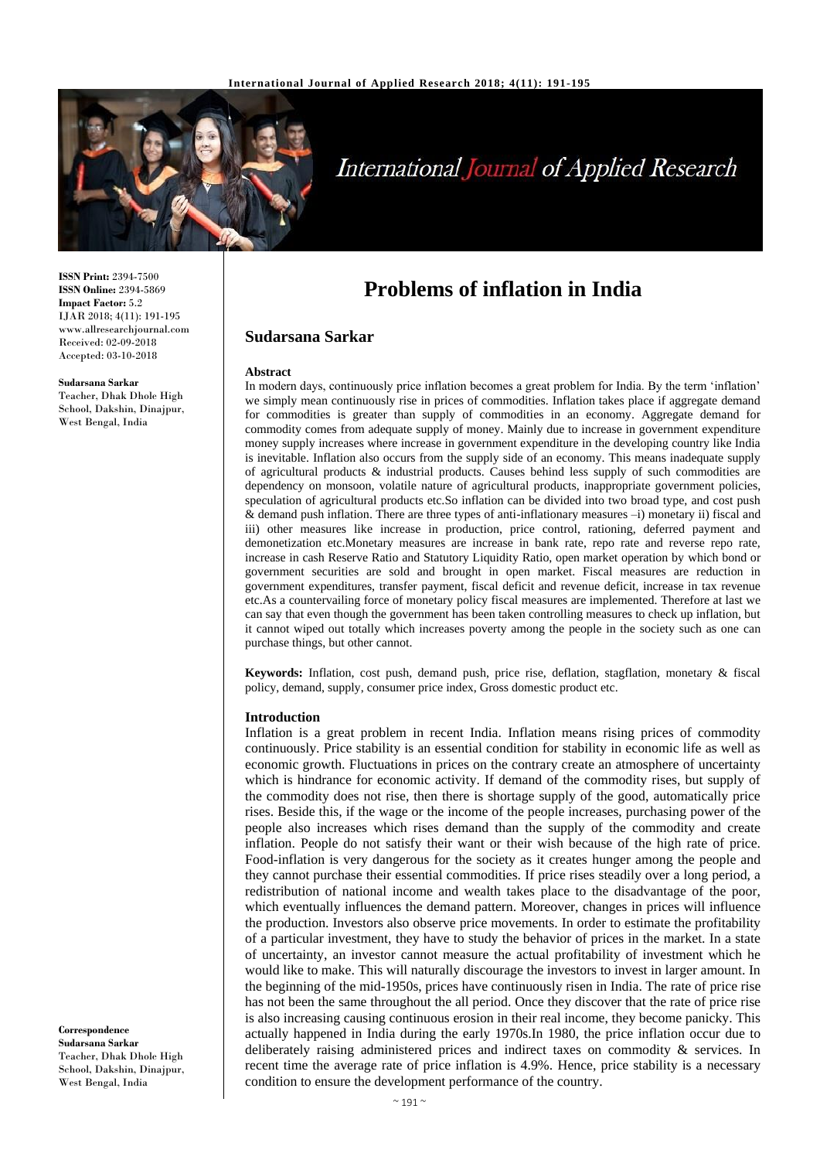

# **International Journal of Applied Research**

**ISSN Print:** 2394-7500 **ISSN Online:** 2394-5869 **Impact Factor:** 5.2 IJAR 2018; 4(11): 191-195 www.allresearchjournal.com Received: 02-09-2018 Accepted: 03-10-2018

#### **Sudarsana Sarkar**

Teacher, Dhak Dhole High School, Dakshin, Dinajpur, West Bengal, India

**Problems of inflation in India**

#### **Sudarsana Sarkar**

#### **Abstract**

In modern days, continuously price inflation becomes a great problem for India. By the term 'inflation' we simply mean continuously rise in prices of commodities. Inflation takes place if aggregate demand for commodities is greater than supply of commodities in an economy. Aggregate demand for commodity comes from adequate supply of money. Mainly due to increase in government expenditure money supply increases where increase in government expenditure in the developing country like India is inevitable. Inflation also occurs from the supply side of an economy. This means inadequate supply of agricultural products & industrial products. Causes behind less supply of such commodities are dependency on monsoon, volatile nature of agricultural products, inappropriate government policies, speculation of agricultural products etc.So inflation can be divided into two broad type, and cost push & demand push inflation. There are three types of anti-inflationary measures –i) monetary ii) fiscal and iii) other measures like increase in production, price control, rationing, deferred payment and demonetization etc.Monetary measures are increase in bank rate, repo rate and reverse repo rate, increase in cash Reserve Ratio and Statutory Liquidity Ratio, open market operation by which bond or government securities are sold and brought in open market. Fiscal measures are reduction in government expenditures, transfer payment, fiscal deficit and revenue deficit, increase in tax revenue etc.As a countervailing force of monetary policy fiscal measures are implemented. Therefore at last we can say that even though the government has been taken controlling measures to check up inflation, but it cannot wiped out totally which increases poverty among the people in the society such as one can purchase things, but other cannot.

**Keywords:** Inflation, cost push, demand push, price rise, deflation, stagflation, monetary & fiscal policy, demand, supply, consumer price index, Gross domestic product etc.

#### **Introduction**

Inflation is a great problem in recent India. Inflation means rising prices of commodity continuously. Price stability is an essential condition for stability in economic life as well as economic growth. Fluctuations in prices on the contrary create an atmosphere of uncertainty which is hindrance for economic activity. If demand of the commodity rises, but supply of the commodity does not rise, then there is shortage supply of the good, automatically price rises. Beside this, if the wage or the income of the people increases, purchasing power of the people also increases which rises demand than the supply of the commodity and create inflation. People do not satisfy their want or their wish because of the high rate of price. Food-inflation is very dangerous for the society as it creates hunger among the people and they cannot purchase their essential commodities. If price rises steadily over a long period, a redistribution of national income and wealth takes place to the disadvantage of the poor, which eventually influences the demand pattern. Moreover, changes in prices will influence the production. Investors also observe price movements. In order to estimate the profitability of a particular investment, they have to study the behavior of prices in the market. In a state of uncertainty, an investor cannot measure the actual profitability of investment which he would like to make. This will naturally discourage the investors to invest in larger amount. In the beginning of the mid-1950s, prices have continuously risen in India. The rate of price rise has not been the same throughout the all period. Once they discover that the rate of price rise is also increasing causing continuous erosion in their real income, they become panicky. This actually happened in India during the early 1970s.In 1980, the price inflation occur due to deliberately raising administered prices and indirect taxes on commodity & services. In recent time the average rate of price inflation is 4.9%. Hence, price stability is a necessary condition to ensure the development performance of the country.

**Correspondence Sudarsana Sarkar** Teacher, Dhak Dhole High School, Dakshin, Dinajpur, West Bengal, India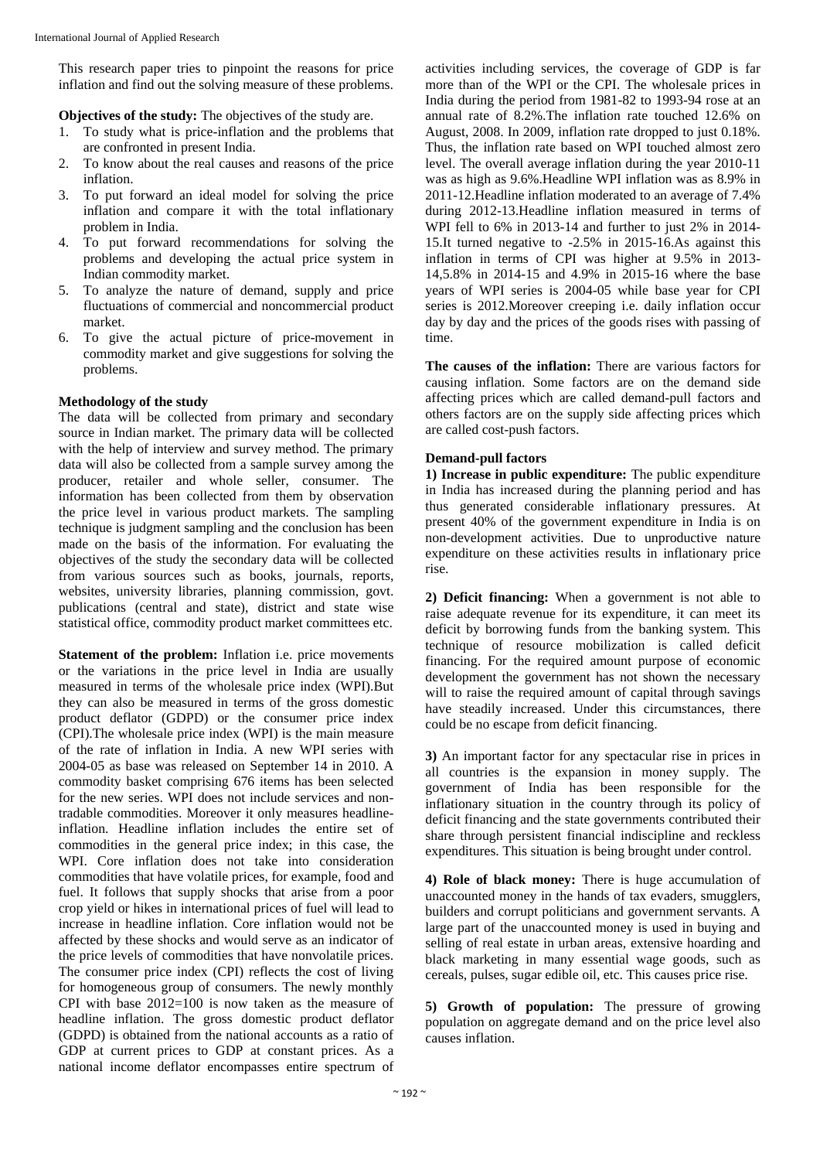This research paper tries to pinpoint the reasons for price inflation and find out the solving measure of these problems.

**Objectives of the study:** The objectives of the study are.

- 1. To study what is price-inflation and the problems that are confronted in present India.
- 2. To know about the real causes and reasons of the price inflation.
- 3. To put forward an ideal model for solving the price inflation and compare it with the total inflationary problem in India.
- 4. To put forward recommendations for solving the problems and developing the actual price system in Indian commodity market.
- 5. To analyze the nature of demand, supply and price fluctuations of commercial and noncommercial product market.
- 6. To give the actual picture of price-movement in commodity market and give suggestions for solving the problems.

## **Methodology of the study**

The data will be collected from primary and secondary source in Indian market. The primary data will be collected with the help of interview and survey method. The primary data will also be collected from a sample survey among the producer, retailer and whole seller, consumer. The information has been collected from them by observation the price level in various product markets. The sampling technique is judgment sampling and the conclusion has been made on the basis of the information. For evaluating the objectives of the study the secondary data will be collected from various sources such as books, journals, reports, websites, university libraries, planning commission, govt. publications (central and state), district and state wise statistical office, commodity product market committees etc.

**Statement of the problem:** Inflation i.e. price movements or the variations in the price level in India are usually measured in terms of the wholesale price index (WPI).But they can also be measured in terms of the gross domestic product deflator (GDPD) or the consumer price index (CPI).The wholesale price index (WPI) is the main measure of the rate of inflation in India. A new WPI series with 2004-05 as base was released on September 14 in 2010. A commodity basket comprising 676 items has been selected for the new series. WPI does not include services and nontradable commodities. Moreover it only measures headlineinflation. Headline inflation includes the entire set of commodities in the general price index; in this case, the WPI. Core inflation does not take into consideration commodities that have volatile prices, for example, food and fuel. It follows that supply shocks that arise from a poor crop yield or hikes in international prices of fuel will lead to increase in headline inflation. Core inflation would not be affected by these shocks and would serve as an indicator of the price levels of commodities that have nonvolatile prices. The consumer price index (CPI) reflects the cost of living for homogeneous group of consumers. The newly monthly CPI with base 2012=100 is now taken as the measure of headline inflation. The gross domestic product deflator (GDPD) is obtained from the national accounts as a ratio of GDP at current prices to GDP at constant prices. As a national income deflator encompasses entire spectrum of activities including services, the coverage of GDP is far more than of the WPI or the CPI. The wholesale prices in India during the period from 1981-82 to 1993-94 rose at an annual rate of 8.2%.The inflation rate touched 12.6% on August, 2008. In 2009, inflation rate dropped to just 0.18%. Thus, the inflation rate based on WPI touched almost zero level. The overall average inflation during the year 2010-11 was as high as 9.6%.Headline WPI inflation was as 8.9% in 2011-12.Headline inflation moderated to an average of 7.4% during 2012-13.Headline inflation measured in terms of WPI fell to 6% in 2013-14 and further to just 2% in 2014- 15.It turned negative to -2.5% in 2015-16.As against this inflation in terms of CPI was higher at 9.5% in 2013- 14,5.8% in 2014-15 and 4.9% in 2015-16 where the base years of WPI series is 2004-05 while base year for CPI series is 2012.Moreover creeping i.e. daily inflation occur day by day and the prices of the goods rises with passing of time.

**The causes of the inflation:** There are various factors for causing inflation. Some factors are on the demand side affecting prices which are called demand-pull factors and others factors are on the supply side affecting prices which are called cost-push factors.

## **Demand-pull factors**

**1) Increase in public expenditure:** The public expenditure in India has increased during the planning period and has thus generated considerable inflationary pressures. At present 40% of the government expenditure in India is on non-development activities. Due to unproductive nature expenditure on these activities results in inflationary price rise.

**2) Deficit financing:** When a government is not able to raise adequate revenue for its expenditure, it can meet its deficit by borrowing funds from the banking system. This technique of resource mobilization is called deficit financing. For the required amount purpose of economic development the government has not shown the necessary will to raise the required amount of capital through savings have steadily increased. Under this circumstances, there could be no escape from deficit financing.

**3)** An important factor for any spectacular rise in prices in all countries is the expansion in money supply. The government of India has been responsible for the inflationary situation in the country through its policy of deficit financing and the state governments contributed their share through persistent financial indiscipline and reckless expenditures. This situation is being brought under control.

**4) Role of black money:** There is huge accumulation of unaccounted money in the hands of tax evaders, smugglers, builders and corrupt politicians and government servants. A large part of the unaccounted money is used in buying and selling of real estate in urban areas, extensive hoarding and black marketing in many essential wage goods, such as cereals, pulses, sugar edible oil, etc. This causes price rise.

**5) Growth of population:** The pressure of growing population on aggregate demand and on the price level also causes inflation.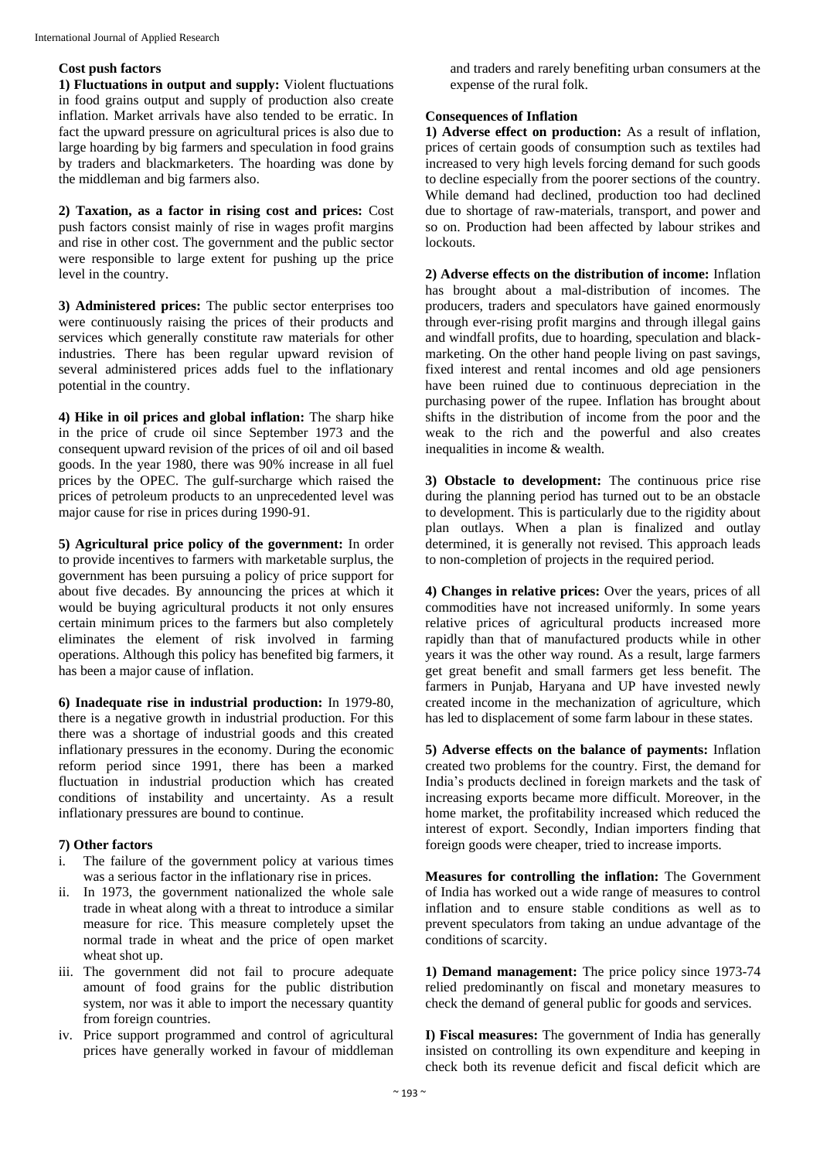#### **Cost push factors**

**1) Fluctuations in output and supply:** Violent fluctuations in food grains output and supply of production also create inflation. Market arrivals have also tended to be erratic. In fact the upward pressure on agricultural prices is also due to large hoarding by big farmers and speculation in food grains by traders and blackmarketers. The hoarding was done by the middleman and big farmers also.

**2) Taxation, as a factor in rising cost and prices:** Cost push factors consist mainly of rise in wages profit margins and rise in other cost. The government and the public sector were responsible to large extent for pushing up the price level in the country.

**3) Administered prices:** The public sector enterprises too were continuously raising the prices of their products and services which generally constitute raw materials for other industries. There has been regular upward revision of several administered prices adds fuel to the inflationary potential in the country.

**4) Hike in oil prices and global inflation:** The sharp hike in the price of crude oil since September 1973 and the consequent upward revision of the prices of oil and oil based goods. In the year 1980, there was 90% increase in all fuel prices by the OPEC. The gulf-surcharge which raised the prices of petroleum products to an unprecedented level was major cause for rise in prices during 1990-91.

**5) Agricultural price policy of the government:** In order to provide incentives to farmers with marketable surplus, the government has been pursuing a policy of price support for about five decades. By announcing the prices at which it would be buying agricultural products it not only ensures certain minimum prices to the farmers but also completely eliminates the element of risk involved in farming operations. Although this policy has benefited big farmers, it has been a major cause of inflation.

**6) Inadequate rise in industrial production:** In 1979-80, there is a negative growth in industrial production. For this there was a shortage of industrial goods and this created inflationary pressures in the economy. During the economic reform period since 1991, there has been a marked fluctuation in industrial production which has created conditions of instability and uncertainty. As a result inflationary pressures are bound to continue.

## **7) Other factors**

- i. The failure of the government policy at various times was a serious factor in the inflationary rise in prices.
- ii. In 1973, the government nationalized the whole sale trade in wheat along with a threat to introduce a similar measure for rice. This measure completely upset the normal trade in wheat and the price of open market wheat shot up.
- iii. The government did not fail to procure adequate amount of food grains for the public distribution system, nor was it able to import the necessary quantity from foreign countries.
- iv. Price support programmed and control of agricultural prices have generally worked in favour of middleman

and traders and rarely benefiting urban consumers at the expense of the rural folk.

## **Consequences of Inflation**

**1) Adverse effect on production:** As a result of inflation, prices of certain goods of consumption such as textiles had increased to very high levels forcing demand for such goods to decline especially from the poorer sections of the country. While demand had declined, production too had declined due to shortage of raw-materials, transport, and power and so on. Production had been affected by labour strikes and lockouts.

**2) Adverse effects on the distribution of income:** Inflation has brought about a mal-distribution of incomes. The producers, traders and speculators have gained enormously through ever-rising profit margins and through illegal gains and windfall profits, due to hoarding, speculation and blackmarketing. On the other hand people living on past savings, fixed interest and rental incomes and old age pensioners have been ruined due to continuous depreciation in the purchasing power of the rupee. Inflation has brought about shifts in the distribution of income from the poor and the weak to the rich and the powerful and also creates inequalities in income & wealth.

**3) Obstacle to development:** The continuous price rise during the planning period has turned out to be an obstacle to development. This is particularly due to the rigidity about plan outlays. When a plan is finalized and outlay determined, it is generally not revised. This approach leads to non-completion of projects in the required period.

**4) Changes in relative prices:** Over the years, prices of all commodities have not increased uniformly. In some years relative prices of agricultural products increased more rapidly than that of manufactured products while in other years it was the other way round. As a result, large farmers get great benefit and small farmers get less benefit. The farmers in Punjab, Haryana and UP have invested newly created income in the mechanization of agriculture, which has led to displacement of some farm labour in these states.

**5) Adverse effects on the balance of payments:** Inflation created two problems for the country. First, the demand for India's products declined in foreign markets and the task of increasing exports became more difficult. Moreover, in the home market, the profitability increased which reduced the interest of export. Secondly, Indian importers finding that foreign goods were cheaper, tried to increase imports.

**Measures for controlling the inflation:** The Government of India has worked out a wide range of measures to control inflation and to ensure stable conditions as well as to prevent speculators from taking an undue advantage of the conditions of scarcity.

**1) Demand management:** The price policy since 1973-74 relied predominantly on fiscal and monetary measures to check the demand of general public for goods and services.

**I) Fiscal measures:** The government of India has generally insisted on controlling its own expenditure and keeping in check both its revenue deficit and fiscal deficit which are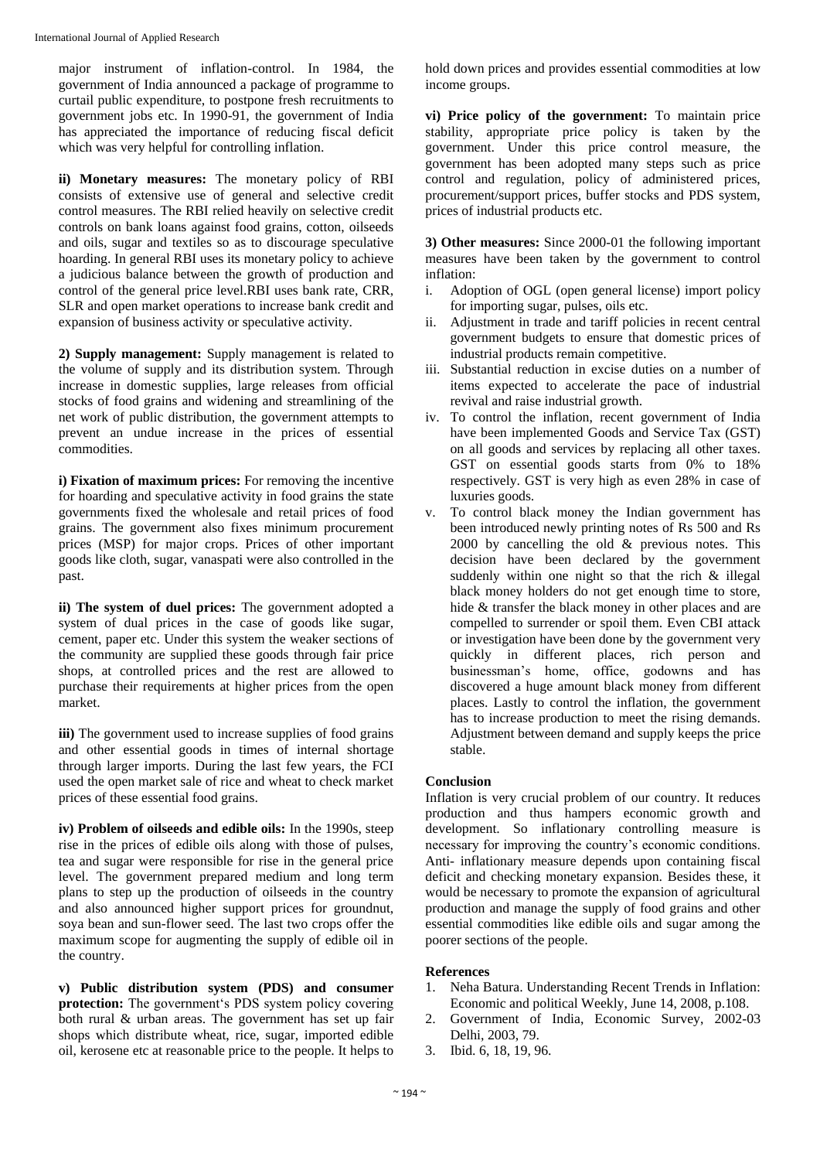major instrument of inflation-control. In 1984, the government of India announced a package of programme to curtail public expenditure, to postpone fresh recruitments to government jobs etc. In 1990-91, the government of India has appreciated the importance of reducing fiscal deficit which was very helpful for controlling inflation.

**ii) Monetary measures:** The monetary policy of RBI consists of extensive use of general and selective credit control measures. The RBI relied heavily on selective credit controls on bank loans against food grains, cotton, oilseeds and oils, sugar and textiles so as to discourage speculative hoarding. In general RBI uses its monetary policy to achieve a judicious balance between the growth of production and control of the general price level.RBI uses bank rate, CRR, SLR and open market operations to increase bank credit and expansion of business activity or speculative activity.

**2) Supply management:** Supply management is related to the volume of supply and its distribution system. Through increase in domestic supplies, large releases from official stocks of food grains and widening and streamlining of the net work of public distribution, the government attempts to prevent an undue increase in the prices of essential commodities.

**i) Fixation of maximum prices:** For removing the incentive for hoarding and speculative activity in food grains the state governments fixed the wholesale and retail prices of food grains. The government also fixes minimum procurement prices (MSP) for major crops. Prices of other important goods like cloth, sugar, vanaspati were also controlled in the past.

**ii) The system of duel prices:** The government adopted a system of dual prices in the case of goods like sugar, cement, paper etc. Under this system the weaker sections of the community are supplied these goods through fair price shops, at controlled prices and the rest are allowed to purchase their requirements at higher prices from the open market.

**iii**) The government used to increase supplies of food grains and other essential goods in times of internal shortage through larger imports. During the last few years, the FCI used the open market sale of rice and wheat to check market prices of these essential food grains.

**iv) Problem of oilseeds and edible oils:** In the 1990s, steep rise in the prices of edible oils along with those of pulses, tea and sugar were responsible for rise in the general price level. The government prepared medium and long term plans to step up the production of oilseeds in the country and also announced higher support prices for groundnut, soya bean and sun-flower seed. The last two crops offer the maximum scope for augmenting the supply of edible oil in the country.

**v) Public distribution system (PDS) and consumer protection:** The government's PDS system policy covering both rural & urban areas. The government has set up fair shops which distribute wheat, rice, sugar, imported edible oil, kerosene etc at reasonable price to the people. It helps to

hold down prices and provides essential commodities at low income groups.

**vi) Price policy of the government:** To maintain price stability, appropriate price policy is taken by the government. Under this price control measure, the government has been adopted many steps such as price control and regulation, policy of administered prices, procurement/support prices, buffer stocks and PDS system, prices of industrial products etc.

**3) Other measures:** Since 2000-01 the following important measures have been taken by the government to control inflation:

- i. Adoption of OGL (open general license) import policy for importing sugar, pulses, oils etc.
- ii. Adjustment in trade and tariff policies in recent central government budgets to ensure that domestic prices of industrial products remain competitive.
- iii. Substantial reduction in excise duties on a number of items expected to accelerate the pace of industrial revival and raise industrial growth.
- iv. To control the inflation, recent government of India have been implemented Goods and Service Tax (GST) on all goods and services by replacing all other taxes. GST on essential goods starts from 0% to 18% respectively. GST is very high as even 28% in case of luxuries goods.
- v. To control black money the Indian government has been introduced newly printing notes of Rs 500 and Rs 2000 by cancelling the old  $\&$  previous notes. This decision have been declared by the government suddenly within one night so that the rich & illegal black money holders do not get enough time to store, hide & transfer the black money in other places and are compelled to surrender or spoil them. Even CBI attack or investigation have been done by the government very quickly in different places, rich person and businessman's home, office, godowns and has discovered a huge amount black money from different places. Lastly to control the inflation, the government has to increase production to meet the rising demands. Adjustment between demand and supply keeps the price stable.

# **Conclusion**

Inflation is very crucial problem of our country. It reduces production and thus hampers economic growth and development. So inflationary controlling measure is necessary for improving the country's economic conditions. Anti- inflationary measure depends upon containing fiscal deficit and checking monetary expansion. Besides these, it would be necessary to promote the expansion of agricultural production and manage the supply of food grains and other essential commodities like edible oils and sugar among the poorer sections of the people.

## **References**

- 1. Neha Batura. Understanding Recent Trends in Inflation: Economic and political Weekly, June 14, 2008, p.108.
- 2. Government of India, Economic Survey, 2002-03 Delhi, 2003, 79.
- 3. Ibid. 6, 18, 19, 96.